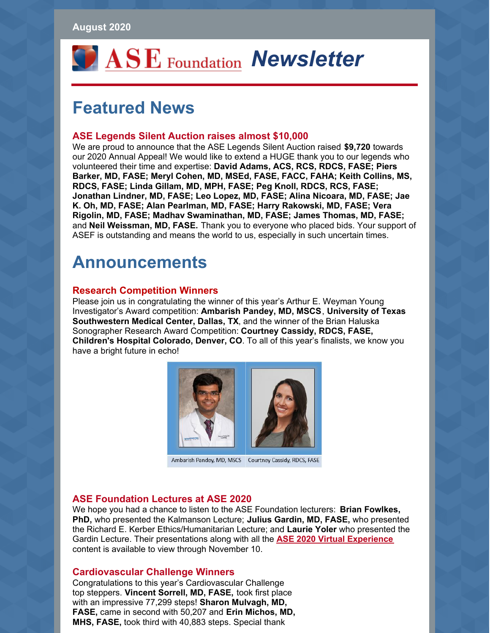

# **Featured News**

### **ASE Legends Silent Auction raises almost \$10,000**

We are proud to announce that the ASE Legends Silent Auction raised **\$9,720** towards our 2020 Annual Appeal! We would like to extend a HUGE thank you to our legends who volunteered their time and expertise: **David Adams, ACS, RCS, RDCS, FASE; Piers Barker, MD, FASE; Meryl Cohen, MD, MSEd, FASE, FACC, FAHA; Keith Collins, MS, RDCS, FASE; Linda Gillam, MD, MPH, FASE; Peg Knoll, RDCS, RCS, FASE; Jonathan Lindner, MD, FASE; Leo Lopez, MD, FASE; Alina Nicoara, MD, FASE; Jae K. Oh, MD, FASE; Alan Pearlman, MD, FASE; Harry Rakowski, MD, FASE; Vera Rigolin, MD, FASE; Madhav Swaminathan, MD, FASE; James Thomas, MD, FASE;** and **Neil Weissman, MD, FASE.** Thank you to everyone who placed bids. Your support of ASEF is outstanding and means the world to us, especially in such uncertain times.

# **Announcements**

#### **Research Competition Winners**

Please join us in congratulating the winner of this year's Arthur E. Weyman Young Investigator's Award competition: **Ambarish Pandey, MD, MSCS**, **University of Texas Southwestern Medical Center, Dallas, TX**, and the winner of the Brian Haluska Sonographer Research Award Competition: **Courtney Cassidy, RDCS, FASE, Children's Hospital Colorado, Denver, CO**. To all of this year's finalists, we know you have a bright future in echo!



Ambarish Pandey, MD, MSCS Courtney Cassidy, RDCS, FASE

#### **ASE Foundation Lectures at ASE 2020**

We hope you had a chance to listen to the ASE Foundation lecturers: **Brian Fowlkes, PhD,** who presented the Kalmanson Lecture; **Julius Gardin, MD, FASE,** who presented the Richard E. Kerber Ethics/Humanitarian Lecture; and **Laurie Yoler** who presented the Gardin Lecture. Their presentations along with all the **ASE 2020 Virtual [Experience](http://www.asescientificsessions.org)** content is available to view through November 10.

#### **Cardiovascular Challenge Winners**

Congratulations to this year's Cardiovascular Challenge top steppers. **Vincent Sorrell, MD, FASE,** took first place with an impressive 77,299 steps! **Sharon Mulvagh, MD, FASE,** came in second with 50,207 and **Erin Michos, MD, MHS, FASE,** took third with 40,883 steps. Special thank